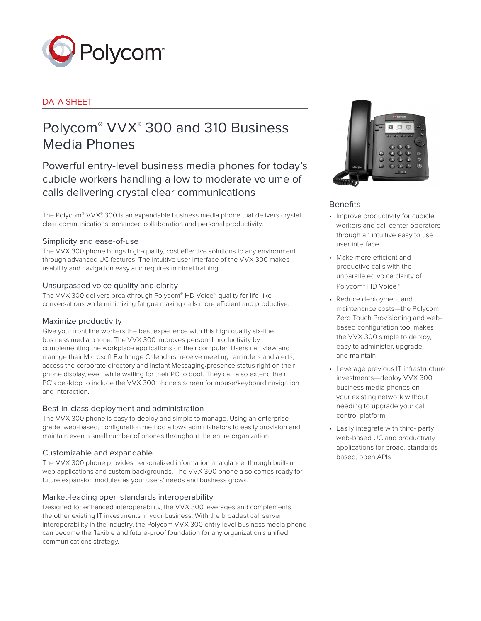

# DATA SHEET

# Polycom® VVX® 300 and 310 Business Media Phones

Powerful entry-level business media phones for today's cubicle workers handling a low to moderate volume of calls delivering crystal clear communications

The Polycom® VVX® 300 is an expandable business media phone that delivers crystal clear communications, enhanced collaboration and personal productivity.

# Simplicity and ease-of-use

The VVX 300 phone brings high-quality, cost effective solutions to any environment through advanced UC features. The intuitive user interface of the VVX 300 makes usability and navigation easy and requires minimal training.

# Unsurpassed voice quality and clarity

The VVX 300 delivers breakthrough Polycom® HD Voice™ quality for life-like conversations while minimizing fatigue making calls more efficient and productive.

# Maximize productivity

Give your front line workers the best experience with this high quality six-line business media phone. The VVX 300 improves personal productivity by complementing the workplace applications on their computer. Users can view and manage their Microsoft Exchange Calendars, receive meeting reminders and alerts, access the corporate directory and Instant Messaging/presence status right on their phone display, even while waiting for their PC to boot. They can also extend their PC's desktop to include the VVX 300 phone's screen for mouse/keyboard navigation and interaction.

# Best-in-class deployment and administration

The VVX 300 phone is easy to deploy and simple to manage. Using an enterprisegrade, web-based, configuration method allows administrators to easily provision and maintain even a small number of phones throughout the entire organization.

# Customizable and expandable

The VVX 300 phone provides personalized information at a glance, through built-in web applications and custom backgrounds. The VVX 300 phone also comes ready for future expansion modules as your users' needs and business grows.

# Market-leading open standards interoperability

Designed for enhanced interoperability, the VVX 300 leverages and complements the other existing IT investments in your business. With the broadest call server interoperability in the industry, the Polycom VVX 300 entry level business media phone can become the flexible and future-proof foundation for any organization's unified communications strategy.



# Benefits

- • Improve productivity for cubicle workers and call center operators through an intuitive easy to use user interface
- • Make more efficient and productive calls with the unparalleled voice clarity of Polycom® HD Voice™
- • Reduce deployment and maintenance costs—the Polycom Zero Touch Provisioning and webbased configuration tool makes the VVX 300 simple to deploy, easy to administer, upgrade, and maintain
- • Leverage previous IT infrastructure investments—deploy VVX 300 business media phones on your existing network without needing to upgrade your call control platform
- Easily integrate with third- party web-based UC and productivity applications for broad, standardsbased, open APIs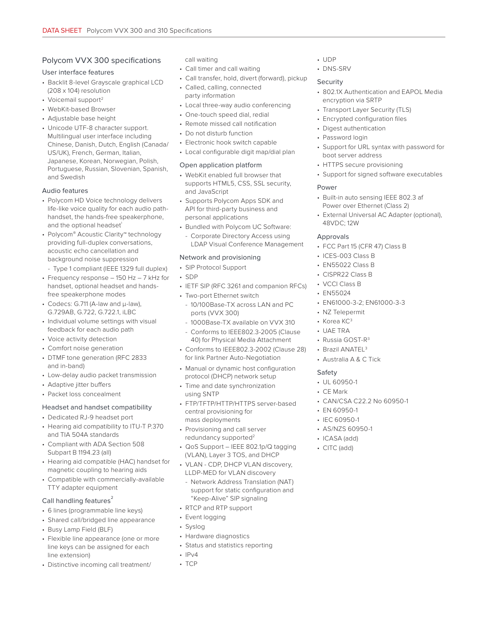# Polycom VVX 300 specifications

## User interface features

- Backlit 8-level Grayscale graphical LCD (208 x 104) resolution
- Voicemail support<sup>2</sup>
- WebKit-based Browser
- Adjustable base height
- Unicode UTF-8 character support. Multilingual user interface including Chinese, Danish, Dutch, English (Canada/ US/UK), French, German, Italian, Japanese, Korean, Norwegian, Polish, Portuguese, Russian, Slovenian, Spanish, and Swedish

## Audio features

- Polycom HD Voice technology delivers life-like voice quality for each audio pathhandset, the hands-free speakerphone, and the optional headset<sup>1</sup>
- Polycom® Acoustic Clarity™ technology providing full-duplex conversations, acoustic echo cancellation and background noise suppression
- Type 1 compliant (IEEE 1329 full duplex)
- Frequency response 150 Hz 7 kHz for handset, optional headset and handsfree speakerphone modes
- Codecs: G.711 (A-law and μ-law), G.729AB, G.722, G.722.1, iLBC
- Individual volume settings with visual feedback for each audio path
- Voice activity detection
- Comfort noise generation
- DTMF tone generation (RFC 2833 and in-band)
- Low-delay audio packet transmission
- Adaptive jitter buffers
- Packet loss concealment

## Headset and handset compatibility

- Dedicated RJ-9 headset port
- Hearing aid compatibility to ITU-T P.370 and TIA 504A standards
- Compliant with ADA Section 508 Subpart B 1194.23 (all)
- Hearing aid compatible (HAC) handset for magnetic coupling to hearing aids
- Compatible with commercially-available TTY adapter equipment

## Call handling features<sup>2</sup>

- 6 lines (programmable line keys)
- Shared call/bridged line appearance
- Busy Lamp Field (BLF)
- Flexible line appearance (one or more line keys can be assigned for each line extension)
- Distinctive incoming call treatment/

call waiting

- Call timer and call waiting
- Call transfer, hold, divert (forward), pickup
- Called, calling, connected party information
- Local three-way audio conferencing
- One-touch speed dial, redial
- Remote missed call notification
- Do not disturb function
- Electronic hook switch capable
- Local configurable digit map/dial plan

## Open application platform

- WebKit enabled full browser that supports HTML5, CSS, SSL security, and JavaScript
- Supports Polycom Apps SDK and API for third-party business and personal applications
- Bundled with Polycom UC Software:
- Corporate Directory Access using LDAP Visual Conference Management

## Network and provisioning

## • SIP Protocol Support

- SDP
- IETF SIP (RFC 3261 and companion RFCs)
- Two-port Ethernet switch
- 10/100Base-TX across LAN and PC ports (VVX 300)
- 1000Base-TX available on VVX 310
- Conforms to IEEE802.3-2005 (Clause 40) for Physical Media Attachment
- Conforms to IEEE802.3-2002 (Clause 28) for link Partner Auto-Negotiation
- Manual or dynamic host configuration protocol (DHCP) network setup
- Time and date synchronization using SNTP
- FTP/TFTP/HTTP/HTTPS server-based central provisioning for mass deployments
- Provisioning and call server redundancy supported<sup>2</sup>
- QoS Support IEEE 802.1p/Q tagging (VLAN), Layer 3 TOS, and DHCP
- VLAN CDP, DHCP VLAN discovery, LLDP-MED for VLAN discovery
	- Network Address Translation (NAT) support for static configuration and "Keep-Alive" SIP signaling
- RTCP and RTP support
- Event logging
- Syslog
- Hardware diagnostics
- Status and statistics reporting
- $\cdot$  IPv4
- TCP

## • UDP

• DNS-SRV

## Security

- 802.1X Authentication and EAPOL Media encryption via SRTP
- Transport Layer Security (TLS)
- Encrypted configuration files
- Digest authentication
- Password login
- Support for URL syntax with password for boot server address
- HTTPS secure provisioning
- Support for signed software executables

## Power

- Built-in auto sensing IEEE 802.3 af Power over Ethernet (Class 2)
- External Universal AC Adapter (optional), 48VDC; 12W

## Approvals

- FCC Part 15 (CFR 47) Class B
- ICES-003 Class B
- EN55022 Class B
- CISPR22 Class B
- VCCI Class B
- EN55024
- EN61000-3-2; EN61000-3-3

• CAN/CSA C22.2 No 60950-1

- NZ Telepermit
- Korea KC<sup>3</sup>
- UAE TRA
- Russia GOST-R<sup>3</sup>
- Brazil ANATEL<sup>3</sup>

• UL 60950-1 • CE Mark

• EN 60950-1 • IEC 60950-1 • AS/NZS 60950-1 • ICASA (add) • CITC (add)

 $\bullet$  Australia A & C Tick

## Safety